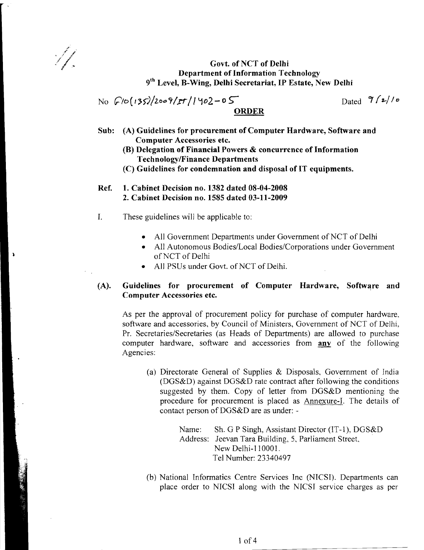N.

# Govt. of NCT of Delhi Department of Information Technology 9<sup>th</sup> Level, B-Wing, Delhi Secretariat, IP Estate, New Delhi

 $\frac{1}{\sqrt{2}}\int \frac{1}{5\sqrt{200}}$  /2009/ $\frac{1}{2}$  / 1902-05 ORDER

- Sub: (A) Guidelines for procurement of Computer Hardware, Software and Computer Accessories etc.
	- (B) Delegation of Financial Powers & concurrence of Information TechnologylFinance Departments
	- (C) Guidelines for condemnation and disposal of IT equipments.
- Ref. 1. Cabinet Decision no. 1382 dated 08-04-2008 2. Cabinet Decision no. 1585 dated 03-11-2009
- I. These guidelines will be applicable to:
	- All Government Departments under Government of NCT of Delhi
	- All Autonomous Bodies/Local Bodies/Corporations under Government ofNCT of Delhi
	- All PSUs under Govt. of NCT of Delhi.

# (A). Guidelines for procurement of Computer Hardware, Software and Computer Accessories etc.

As per the approval of procurement policy for purchase of computer hardware, software and accessories, by Council of Ministers, Government of NCT of Delhi, Pr. Secretaries/Secretaries (as Heads of Departments) are allowed to purchase computer hardware, software and accessories from **any** of the following Agencies:

(a) Directorate General of Supplies  $&$  Disposals, Government of India (DGS&D) against DGS&D rate contract after following the conditions suggested by them. Copy of letter from DGS&D mentioning the procedure for procurement is placed as Annexure-I. The details of contact person of DGS&D are as under:

> Name: Sh. G P Singh, Assistant Director (IT-1), DGS&D Address: Jeevan Tara Building, 5, Parliament Street. New Delhi-110001. Tel Number: 23340497

(b) National Informatics Centre Services Inc (NICS!). Departments can place order to NICSI along with the NICSI service charges as per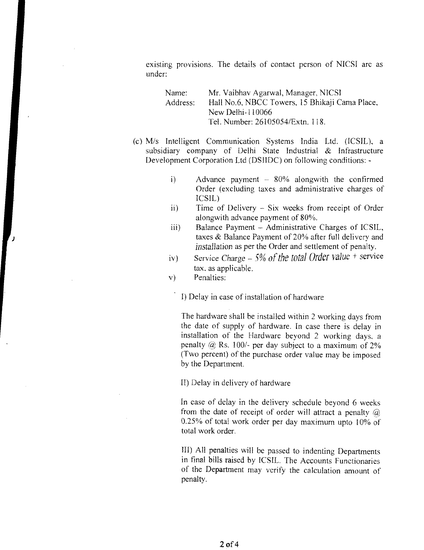existing provisions. The details of contact person of NICSI arc as under:

| Name:    | Mr. Vaibhav Agarwal, Manager, NICSI            |  |
|----------|------------------------------------------------|--|
| Address: | Hall No.6, NBCC Towers, 15 Bhikaji Cama Place, |  |
|          | New Delhi-110066                               |  |
|          | Tel. Number: 26105054/Extn, 118.               |  |

- (c) M/s Intelligent Communication Systems India Ltd. (ICSIL), a subsidiary company of Delhi State Industrial & Infrastructure Development Corporation Ltd (DSIIDC) on following conditions:
	- i) Advance payment  $-$  80% alongwith the confirmed Order (excluding taxes and administrative charges of ICSIL)
	- ii) Time of Delivery Six weeks from receipt of Order alongwith advance payment of 80%.
	- iii) Balance Payment Administrative Charges of ICSIL, taxes & Balance Payment of 20% after full delivery and *installation* as per the Order and settlement of penalty.
	- iv) Service Charge 5% of the total Order value + service tax. as applicable.
	- v) Penalties:

I) Delay in case of installation of hardware

The hardware shall be installed within 2 working days from the date of supply of hardware. In case there is delay in installation of the Hardware beyond 2 working days, a penalty  $\omega$  Rs. 100/- per day subject to a maximum of 2% (Two percent) of the purchase order value may be imposed by the Department.

II) Delay in delivery of hardware

In case of delay in the delivery schedule beyond 6 weeks from the date of receipt of order will attract a penalty  $\omega$ 0.25% of total work order per day maximum upto 10% of total work order.

III) All penalties will be passed to indenting Departments in final bills raised by ICSIL. The Accounts Functionaries of the Department may verify the calculation amount of penalty.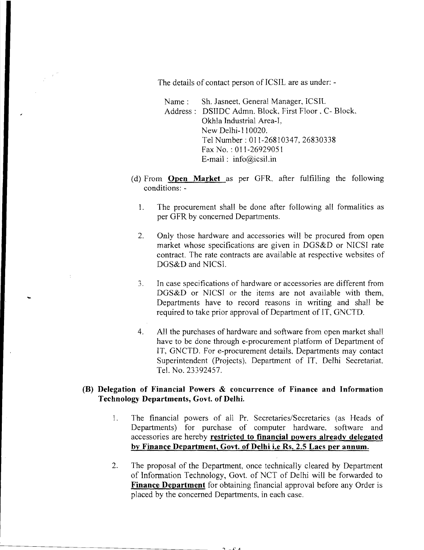The details of contact person of ICSIL are as under: -

Name: Sh. Jasneet, General Manager, ICSIL Address: DSIIDC Admn. Block, First Floor, C- Block, Okhla Industrial Area-I, New Delhi-110020 Tel Number: 011-26810347, 26830338 Fax No. : 011-26929051 E-mail: info@icsil.in

- (d) From **Open Market** as per GFR, after fulfilling the following conditions: -
	- 1. The procurement shall be done after following all formalities as per GFR by concerned Departments.
	- 2. Only those hardware and accessories will be procured from open market whose specifications are given in DGS&D or NICSI rate contract. The rate contracts are available at respective websites of DGS&D and NICS!.
	- 3. In case specifications of hardware or accessories are different from DGS&D or NICSI or the items are not available with them, Departments have to record reasons in writing and shall be required to take prior approval of Department of IT, GNCTD.
	- 4. All the purchases of hardware and software from open market shall have to be done through e-procurement platform of Department of IT, GNCTD. For e-procurement details, Departments may contact Superintendent (Projects), Department of IT, Delhi Secretariat. Tel. No. 23392457.

# **(B) Delegation of Financial Powers & concurrence of Finance and Information Technology Departments, Govt. of Delhi.**

- 1. The financial powers of all Pr. Secretaries/Secretaries (as Heads of Departments) for purchase of computer hardware. software and accessories are hereby **restricted to financial powers already delegated by Finance Department, Govt. of Delhi i.e Rs. 2.5 Lacs per annum,**
- 2. The proposal of the Department, once technically cleared by Department of Information Technology, Govt. of NCT of Delhi will be forwarded to **Finance Department** for obtaining financial approval before any Order is placed by the concerned Departments. in each case.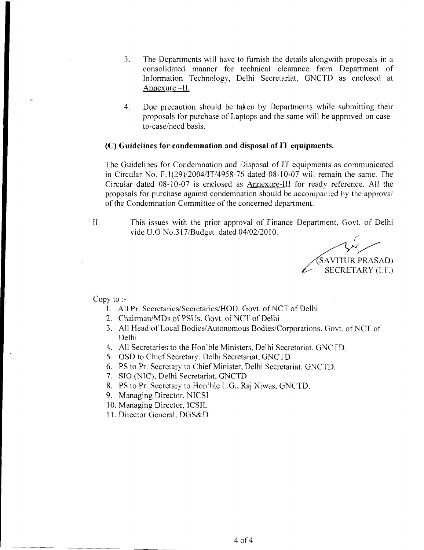- 3, The Departments will have to furnish the details alongwith proposals in a consolidated manner for technical clearance from Department of Information Technology, Delhi Secretariat, GNCTD as enclosed at Annexure -II.
- 4. Due precaution should be taken by Departments while submitting their proposals for purchase of Laptops and the same will be approved on caseto-case/need basis.

## (C) Guidelines for condemnation and disposal of **IT** equipments.

The Guidelines for Condemnation and Disposal of IT equipments as communicated in Circular No, F.l (29)/2004/IT/4958-76 dated 08-10-07 will remain the same. The Circular dated 08-10-07 is enclosed as Annexure-III for ready reference. All the proposals for purchase against condemnation should be accompanied by the approval of the Condemnation Committee of the concerned department.

II. This issues with the prior approval of Finance Department, Govt. of Delhi vide U.O No.317/Budget dated 04/02/2010.

 $\big($ SAVITUR PRASAD) SECRETARY (I.T.)

Copy to :

- 1. All Pr. Secretaries/Secretaries/HOD. Govt. of NCT of Delhi
- 2. Chairman/MDs of PSUs, Govt. of NCT of Delhi
- 3. All Head of Local Bodies/Autonomous Bodies/Corporations. Govt. of NCT of Delhi
- 4. All Secretaries to the Hon'ble Ministers, Delhi Secretariat. GNCTD.
- 5. OSD to Chief Secretary, Delhi Secretariat. GNCTD
- 6. PS to Pr. Secretary to Chief Minister, Delhi Secretariat, GNCTD.
- 7. SIO (NIC), Delhi Secretariat, GNCTD
- 8. PS to Pr. Secretary to Hon'ble L.G., Raj Niwas, GNCTD.
- 9. Managing Director, NICSI
- 10. Managing Director, ICSIL
- 11. Director General, DGS&D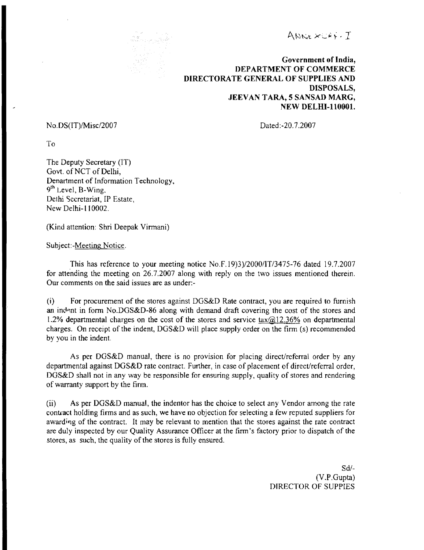ANNEXCAP-T



Government of India, DEPARTMENT OF COMMERCE DIRECTORATE GENERAL OF SUPPLIES AND DISPOSALS, JEEVAN TARA, 5 SANSAD MARC, NEW DELHI-110001.

No. DS(IT)/Misc/2007 Dated:-20.7.2007

To

The Deputy Secretary (IT) Govt. of NCT of Delhi, Denartment of Information Technology, 9<sup>th</sup> Level, B-Wing. Delhi Secretariat, IP Estate, New Delhi-II 0002.

(Kind attention: Shri Deepak Virmani)

SUbject-Meeting Notice.

This has reference to your meeting notice No.F.19)3)/2000/IT/3475-76 dated 19.7.2007 for attending the meeting on 26.7.2007 along with reply on the two issues mentioned therein. Our comments on the said issues are as under:

(i) For procurement of the stores against DGS&D Rate contract, you are required to furnish an indent in form No.DGS&D-86 along with demand draft covering the cost of the stores and 1.2% departmental charges on the cost of the stores and service tax $@12.36\%$  on departmental charges. On receipt of the indent, DGS&D will place supply order on the firm (s) recommended by you in the indent.

As per DGS&D manual, there is no provision for placing direct/referral order by any departmental against DGS&D rate contract. Further, in case of placement of direct/referral order, DGS&D shall not in any way be responsible for ensuring supply, quality of stores and rendering of warranty support by the firm.

(ii) As per DGS&D manual, the indentor has the choice to select any Vendor among the rate contract holding firms and as such, we have no objection for selecting a few reputed suppliers for awarding of the contract. It may be relevant to mention that the stores against the rate contract are duly inspected by our Quality Assurance Officer at the finn's factory prior to dispatch of the stores, as such, the quality of the stores is fully ensured.

> Sd/ (V.P.Gupta) DIRECTOR OF SUPPlES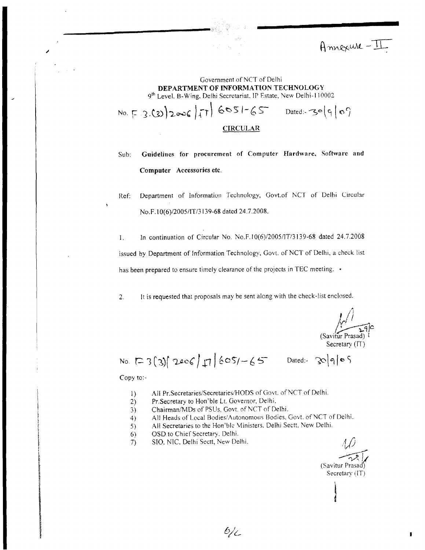Annexure-II

### Government of NCT of Delhi DEPARTMENT OF INFORMATION TECHNOLOGY 9<sup>th</sup> Level, B-Wing, Delhi Secretariat, IP Estate, New Delhi-110002

 $N_0.$   $F.3.(3)$ )2006 |  $T_1$   $6051-65$  Dated: 30(9/0)

**CIRCULAR** 

Sub: Guidelines for procurement of Computer Hardware, Software and Computer Accessories etc.

Ref: Department of Information Technology, Govt.of NCT of Delhi Circular No.F.lO(6)/2005/IT/3139-68 dated 24.7.2008.

I. In continuation of Circular No. No.F.1 O(6)12005/lT/3139-68 dated 24.7.2008 issued by Department of Information Technology, Govt. of NCT of Delhi, a check list has been prepared to ensure timely clearance of the projects in TEC meeting. •

2. It is requested that proposals may be sent along with the check-list enclosed.

 $\int$ *!,fl/ \_*   $\sqrt{\frac{1}{2}}$ (Savitur Prasad) t Secretary (IT)

No.  $[23]$  2006/ $\pi$  605/-65 Dated: 30/9/05

Copy to:

;

- 1) All Pr.Secretaries/Secretaries/HODS of Govt. of NCT of Delhi.
- 2) Pr.Secretary to Hon'ble Lt. Governor, Delhi.
- 3) Chairman/MDs of PSUs, Govt. of NCT of Delhi.
- 4) All Heads of Local Bodies/Autonomous Bodies. Govt. of NCT of Delhi.
- 5) All Secretaries to the Hon'ble Ministers. Delhi Sectt. New Delhi.

 $6/c$ 

- If  $\begin{array}{ll}\n 6) & \text{OSD} \text{ to Chief Secretary. Delhi.} \\
 7) & \text{SIO, NIC. Delhi Sect, New De}\n \end{array}$
- $\gamma$  SIO, NIC, Delhi Sectt, New Delhi.  $\mathcal{U}$

(Savitur Prasad)<br>
Secretary (IT) Secretary (IT)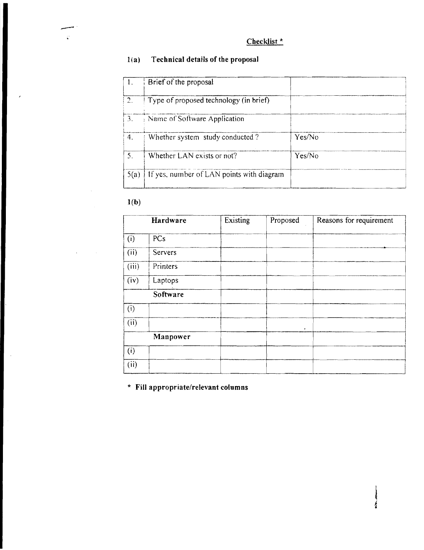#### Technical details of the proposal  $l(a)$

|                 | Brief of the proposal                     |        |
|-----------------|-------------------------------------------|--------|
| 2.              | Type of proposed technology (in brief)    |        |
| $\mathcal{B}$ . | Name of Software Application              |        |
| 4.              | Whether system study conducted?           | Yes/No |
| 5.              | Whether LAN exists or not?                | Yes/No |
| 5(a)            | If yes, number of LAN points with diagram |        |

 $1(b)$ 

 $\sim$ 

 $\hat{\boldsymbol{\beta}}$ 

|       | Hardware | Existing | Proposed | Reasons for requirement |
|-------|----------|----------|----------|-------------------------|
| (i)   | PCs      |          |          |                         |
| (ii)  | Servers  |          |          |                         |
| (iii) | Printers |          |          |                         |
| (iv)  | Laptops  |          |          |                         |
|       | Software |          |          |                         |
| (i)   |          |          |          |                         |
| (ii)  |          |          | ٠        |                         |
|       | Manpower |          |          |                         |
| (i)   |          |          |          |                         |
| (ii)  |          |          |          |                         |

į

\* Fill appropriate/relevant columns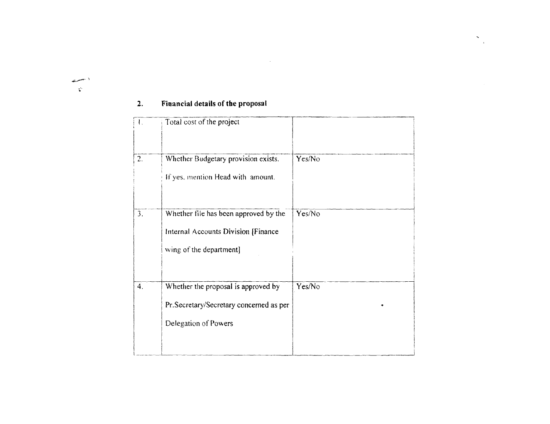#### Financial details of the proposal  $2.$

 $\frac{1}{2}$  , where  $\frac{1}{2}$  $\mathbf{r}^{\mathbf{r}}$ 

| $\mathbf{I}$ . | Total cost of the project                                                                               |        |
|----------------|---------------------------------------------------------------------------------------------------------|--------|
| 2.             | Whether Budgetary provision exists.<br>If yes, mention Head with amount.                                | Yes/No |
| 3.             | Whether file has been approved by the<br>Internal Accounts Division [Finance<br>wing of the department] | Yes/No |
| 4.             | Whether the proposal is approved by<br>Pr.Secretary/Secretary concerned as per<br>Delegation of Powers  | Yes/No |

 $\sim$ 

 $\frac{1}{\sqrt{2}}$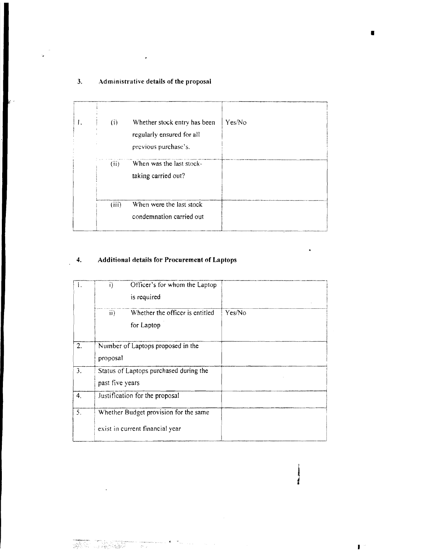# 3. **Administrative details of the proposal**

| I. | (i)   | Whether stock entry has been<br>regularly ensured for all<br>previous purchase's. | Yes/No |
|----|-------|-----------------------------------------------------------------------------------|--------|
|    | (ii)  | When was the last stock-<br>taking carried out?                                   |        |
|    | (iii) | When were the last stock<br>condemnation carried out                              |        |

# **4. Additional details for Procurement** of Laptops

|    | Officer's for whom the Laptop<br>i)<br>is required                       |        |
|----|--------------------------------------------------------------------------|--------|
|    | Whether the officer is entitled<br>$\mathbf{ii}$<br>for Laptop           | Yes/No |
| 2. | Number of Laptops proposed in the<br>proposal                            |        |
| 3. | Status of Laptops purchased during the<br>past five years                |        |
| 4. | Justification for the proposal                                           |        |
| 5. | Whether Budget provision for the same<br>exist in current financial year |        |

 $\epsilon$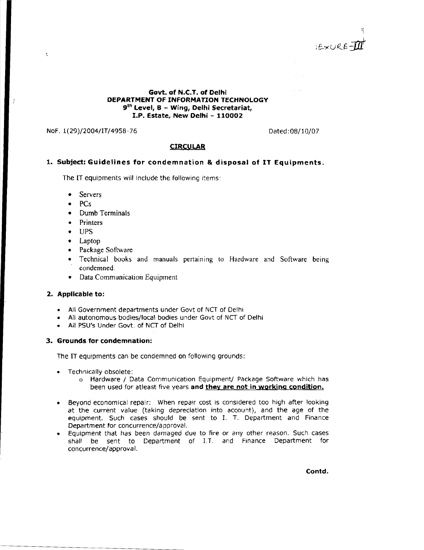$E\times U$ RE-II

**Govt. of N.C.T. of Delhi** DEPARTMENT OF INFORMATION TECHNOLOGY **9th Level, B - Wing, Delhi Secretariat, I.P. Estate, New Delhi - 110002** 

NoF. 1(29)/2004/IT/4958-76 Dated: 08/10/07

 $\epsilon$ 

### **CIRCULAR**

### **1. Subject: Guidelines for condemnation & disposal of IT Equipments.**

The IT equlpments will Include the following items:

- **Servers**
- PCs
- Dumb Terminals
- **Printers**
- UPS
- • Laptop
- Package Software
- Technical books and manuals pertaining to Hardware and Software being condemned.
- • Data Communication Equipment

## **2. Applicable to:**

- All Government departments under Govt of NCT of Delhi
- All autonomous bodies/local bodies under Govt of NCT of Delhi
- All PSU's Under Govt. of NCT of Delhi

### **3. Grounds for condemnation:**

The IT equipments can be condemned on following grounds:

- • Technically obsolete:
	- o Hardware / Data Communication Equipment/ Package Software which has been used for atleast five years **and they are not in working condition.**
- • Beyond economical repair: When repair cost is considered too high after looking at the current value (taking depreciation into account), and the age of the equipment. Such cases should be sent to 1. T. Department and Finance Department for concurrence/a pproval.
- Equipment that has been damaged due to fire or any other reason. Such cases shall be sent to Department of LT. and Finance Department for concurrence/approval.

**Contd.**